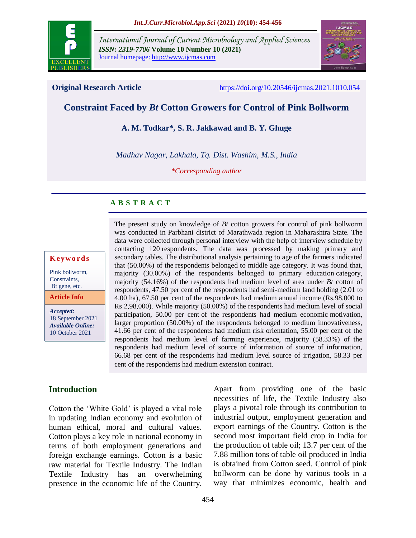

*International Journal of Current Microbiology and Applied Sciences ISSN: 2319-7706* **Volume 10 Number 10 (2021)**  Journal homepage: http://www.ijcmas.com



**Original Research Article** <https://doi.org/10.20546/ijcmas.2021.1010.054>

# **Constraint Faced by** *Bt* **Cotton Growers for Control of Pink Bollworm**

**A. M. Todkar\*, S. R. Jakkawad and B. Y. Ghuge**

*Madhav Nagar, Lakhala, Tq. Dist. Washim, M.S., India*

*\*Corresponding author*

## **A B S T R A C T**

#### **K ey w o rd s**

Pink bollworm, Constraints. Bt gene, etc.

**Article Info**

*Accepted:*  18 September 2021 *Available Online:* 10 October 2021

The present study on knowledge of *Bt* cotton growers for control of pink bollworm was conducted in Parbhani district of Marathwada region in Maharashtra State. The data were collected through personal interview with the help of interview schedule by contacting 120 respondents. The data was processed by making primary and secondary tables. The distributional analysis pertaining to age of the farmers indicated that (50.00%) of the respondents belonged to middle age category. It was found that, majority (30.00%) of the respondents belonged to primary education category, majority (54.16%) of the respondents had medium level of area under *Bt* cotton of respondents, 47.50 per cent of the respondents had semi-medium land holding (2.01 to 4.00 ha), 67.50 per cent of the respondents had medium annual income (Rs.98,000 to Rs 2,98,000). While majority (50.00%) of the respondents had medium level of social participation, 50.00 per cent of the respondents had medium economic motivation, larger proportion (50.00%) of the respondents belonged to medium innovativeness, 41.66 per cent of the respondents had medium risk orientation, 55.00 per cent of the respondents had medium level of farming experience, majority (58.33%) of the respondents had medium level of source of information of source of information, 66.68 per cent of the respondents had medium level source of irrigation, 58.33 per cent of the respondents had medium extension contract.

## **Introduction**

Cotton the 'White Gold' is played a vital role in updating Indian economy and evolution of human ethical, moral and cultural values. Cotton plays a key role in national economy in terms of both employment generations and foreign exchange earnings. Cotton is a basic raw material for Textile Industry. The Indian Textile Industry has an overwhelming presence in the economic life of the Country.

Apart from providing one of the basic necessities of life, the Textile Industry also plays a pivotal role through its contribution to industrial output, employment generation and export earnings of the Country. Cotton is the second most important field crop in India for the production of table oil; 13.7 per cent of the 7.88 million tons of table oil produced in India is obtained from Cotton seed. Control of pink bollworm can be done by various tools in a way that minimizes economic, health and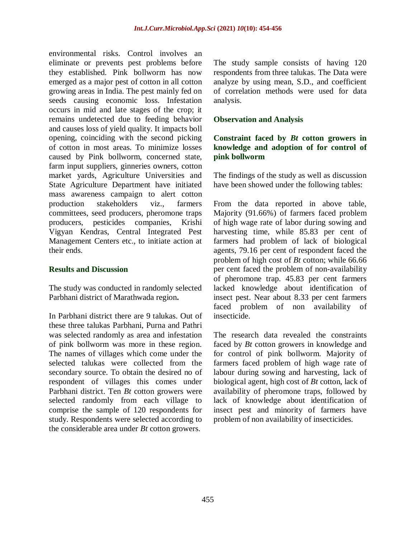environmental risks. Control involves an eliminate or prevents pest problems before they established. Pink bollworm has now emerged as a major pest of cotton in all cotton growing areas in India. The pest mainly fed on seeds causing economic loss. Infestation occurs in mid and late stages of the crop; it remains undetected due to feeding behavior and causes loss of yield quality. It impacts boll opening, coinciding with the second picking of cotton in most areas. To minimize losses caused by Pink bollworm, concerned state, farm input suppliers, ginneries owners, cotton market yards, Agriculture Universities and State Agriculture Department have initiated mass awareness campaign to alert cotton production stakeholders viz., farmers committees, seed producers, pheromone traps producers, pesticides companies, Krishi Vigyan Kendras, Central Integrated Pest Management Centers etc., to initiate action at their ends.

#### **Results and Discussion**

The study was conducted in randomly selected Parbhani district of Marathwada region**.**

In Parbhani district there are 9 talukas. Out of these three talukas Parbhani, Purna and Pathri was selected randomly as area and infestation of pink bollworm was more in these region. The names of villages which come under the selected talukas were collected from the secondary source. To obtain the desired no of respondent of villages this comes under Parbhani district. Ten *Bt* cotton growers were selected randomly from each village to comprise the sample of 120 respondents for study. Respondents were selected according to the considerable area under *Bt* cotton growers.

The study sample consists of having 120 respondents from three talukas. The Data were analyze by using mean, S.D., and coefficient of correlation methods were used for data analysis.

#### **Observation and Analysis**

#### **Constraint faced by** *Bt* **cotton growers in knowledge and adoption of for control of pink bollworm**

The findings of the study as well as discussion have been showed under the following tables:

From the data reported in above table, Majority (91.66%) of farmers faced problem of high wage rate of labor during sowing and harvesting time, while 85.83 per cent of farmers had problem of lack of biological agents, 79.16 per cent of respondent faced the problem of high cost of *Bt* cotton; while 66.66 per cent faced the problem of non-availability of pheromone trap. 45.83 per cent farmers lacked knowledge about identification of insect pest. Near about 8.33 per cent farmers faced problem of non availability of insecticide.

The research data revealed the constraints faced by *Bt* cotton growers in knowledge and for control of pink bollworm. Majority of farmers faced problem of high wage rate of labour during sowing and harvesting, lack of biological agent, high cost of *Bt* cotton, lack of availability of pheromone traps, followed by lack of knowledge about identification of insect pest and minority of farmers have problem of non availability of insecticides.